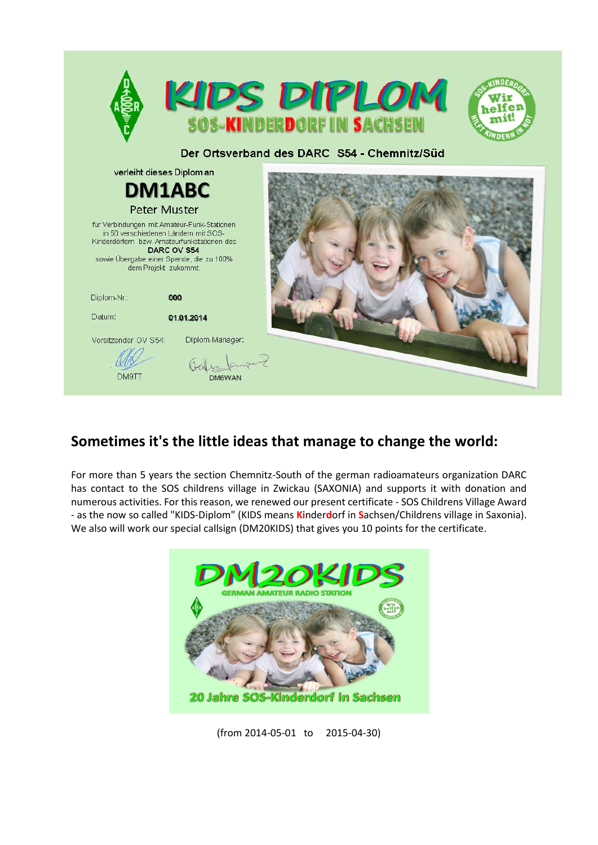

## **Sometimes it's the little ideas that manage to change the world:**

For more than 5 years the section Chemnitz-South of the german radioamateurs organization DARC has contact to the SOS childrens village in Zwickau (SAXONIA) and supports it with donation and numerous activities. For this reason, we renewed our present certificate - SOS Childrens Village Award - as the now so called "KIDS-Diplom" (KIDS means **Ki**nder**d**orf in **S**achsen/Childrens village in Saxonia). We also will work our special callsign (DM20KIDS) that gives you 10 points for the certificate.



(from 2014-05-01 to 2015-04-30)